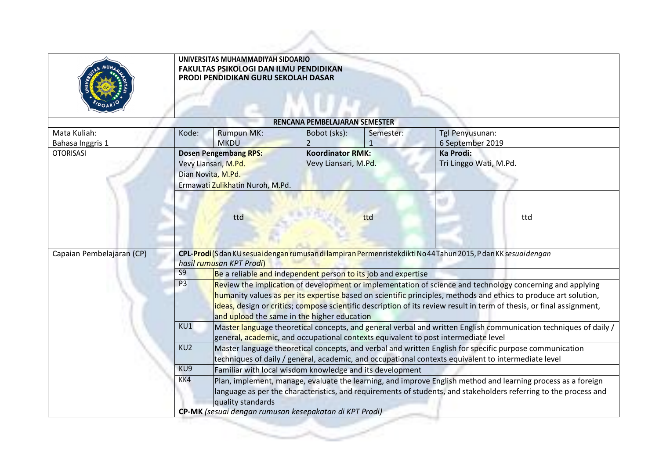|                                  | UNIVERSITAS MUHAMMADIYAH SIDOARJO<br><b>FAKULTAS PSIKOLOGI DAN ILMU PENDIDIKAN</b><br>PRODI PENDIDIKAN GURU SEKOLAH DASAR                                                                                                                                                                                                                                                                                                                                                                |                                                                                                                                                                                                                                                                                                                                                                                                                                             |                                                 |                |                                     |     |  |
|----------------------------------|------------------------------------------------------------------------------------------------------------------------------------------------------------------------------------------------------------------------------------------------------------------------------------------------------------------------------------------------------------------------------------------------------------------------------------------------------------------------------------------|---------------------------------------------------------------------------------------------------------------------------------------------------------------------------------------------------------------------------------------------------------------------------------------------------------------------------------------------------------------------------------------------------------------------------------------------|-------------------------------------------------|----------------|-------------------------------------|-----|--|
|                                  |                                                                                                                                                                                                                                                                                                                                                                                                                                                                                          |                                                                                                                                                                                                                                                                                                                                                                                                                                             | RENCANA PEMBELAJARAN SEMESTER                   |                |                                     |     |  |
| Mata Kuliah:<br>Bahasa Inggris 1 | Kode:                                                                                                                                                                                                                                                                                                                                                                                                                                                                                    | <b>Rumpun MK:</b><br><b>MKDU</b>                                                                                                                                                                                                                                                                                                                                                                                                            | Bobot (sks):<br>2                               | Semester:<br>1 | Tgl Penyusunan:<br>6 September 2019 |     |  |
| <b>OTORISASI</b>                 | <b>Dosen Pengembang RPS:</b><br>Vevy Liansari, M.Pd.<br>Dian Novita, M.Pd.<br>Ermawati Zulikhatin Nuroh, M.Pd.                                                                                                                                                                                                                                                                                                                                                                           |                                                                                                                                                                                                                                                                                                                                                                                                                                             | <b>Koordinator RMK:</b><br>Vevy Liansari, M.Pd. |                | Ka Prodi:<br>Tri Linggo Wati, M.Pd. |     |  |
|                                  |                                                                                                                                                                                                                                                                                                                                                                                                                                                                                          | ttd                                                                                                                                                                                                                                                                                                                                                                                                                                         | ttd                                             |                |                                     | ttd |  |
| Capaian Pembelajaran (CP)        | CPL-Prodi (S dan KU sesuai dengan rumusan di lampiran Permenristekdikti No 44 Tahun 2015, P dan KK sesuai dengan                                                                                                                                                                                                                                                                                                                                                                         |                                                                                                                                                                                                                                                                                                                                                                                                                                             |                                                 |                |                                     |     |  |
|                                  | $\overline{S9}$                                                                                                                                                                                                                                                                                                                                                                                                                                                                          | hasil rumusan KPT Prodi)                                                                                                                                                                                                                                                                                                                                                                                                                    |                                                 |                |                                     |     |  |
|                                  | Be a reliable and independent person to its job and expertise<br>P <sub>3</sub><br>Review the implication of development or implementation of science and technology concerning and applying<br>humanity values as per its expertise based on scientific principles, methods and ethics to produce art solution,<br>ideas, design or critics; compose scientific description of its review result in term of thesis, or final assignment,<br>and upload the same in the higher education |                                                                                                                                                                                                                                                                                                                                                                                                                                             |                                                 |                |                                     |     |  |
|                                  | KU1                                                                                                                                                                                                                                                                                                                                                                                                                                                                                      | Master language theoretical concepts, and general verbal and written English communication techniques of daily /<br>general, academic, and occupational contexts equivalent to post intermediate level<br>KU <sub>2</sub><br>Master language theoretical concepts, and verbal and written English for specific purpose communication<br>techniques of daily / general, academic, and occupational contexts equivalent to intermediate level |                                                 |                |                                     |     |  |
|                                  |                                                                                                                                                                                                                                                                                                                                                                                                                                                                                          |                                                                                                                                                                                                                                                                                                                                                                                                                                             |                                                 |                |                                     |     |  |
|                                  | KU9                                                                                                                                                                                                                                                                                                                                                                                                                                                                                      |                                                                                                                                                                                                                                                                                                                                                                                                                                             |                                                 |                |                                     |     |  |
|                                  | KK4                                                                                                                                                                                                                                                                                                                                                                                                                                                                                      | Familiar with local wisdom knowledge and its development<br>Plan, implement, manage, evaluate the learning, and improve English method and learning process as a foreign<br>language as per the characteristics, and requirements of students, and stakeholders referring to the process and<br>quality standards                                                                                                                           |                                                 |                |                                     |     |  |
|                                  |                                                                                                                                                                                                                                                                                                                                                                                                                                                                                          | CP-MK (sesuai dengan rumusan kesepakatan di KPT Prodi)                                                                                                                                                                                                                                                                                                                                                                                      |                                                 |                |                                     |     |  |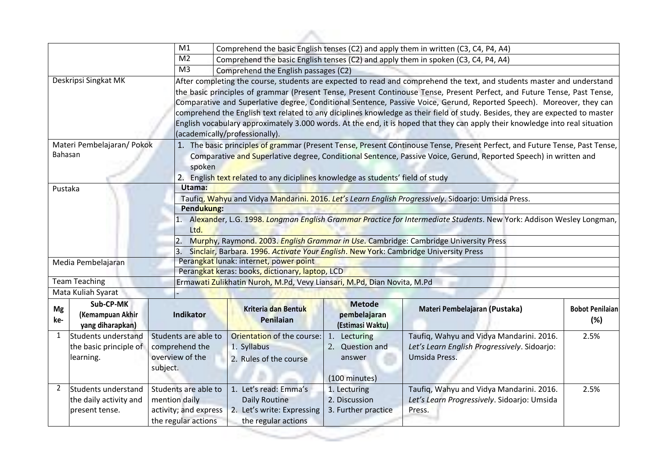|                                                                 | M1                                            |                                                                                                                                                                                                                |                                                                                                                                                            |                                                                                                           |                                                                                                                                                                                                                                                                                                                                                                                                                                                                                                                                                                                                                                                                                                                                                                                                                                                                                                                                                                                                                                                                                                                                                                                                                                                                                                |  |  |  |
|-----------------------------------------------------------------|-----------------------------------------------|----------------------------------------------------------------------------------------------------------------------------------------------------------------------------------------------------------------|------------------------------------------------------------------------------------------------------------------------------------------------------------|-----------------------------------------------------------------------------------------------------------|------------------------------------------------------------------------------------------------------------------------------------------------------------------------------------------------------------------------------------------------------------------------------------------------------------------------------------------------------------------------------------------------------------------------------------------------------------------------------------------------------------------------------------------------------------------------------------------------------------------------------------------------------------------------------------------------------------------------------------------------------------------------------------------------------------------------------------------------------------------------------------------------------------------------------------------------------------------------------------------------------------------------------------------------------------------------------------------------------------------------------------------------------------------------------------------------------------------------------------------------------------------------------------------------|--|--|--|
|                                                                 | M <sub>2</sub>                                | Comprehend the basic English tenses (C2) and apply them in spoken (C3, C4, P4, A4)                                                                                                                             |                                                                                                                                                            |                                                                                                           |                                                                                                                                                                                                                                                                                                                                                                                                                                                                                                                                                                                                                                                                                                                                                                                                                                                                                                                                                                                                                                                                                                                                                                                                                                                                                                |  |  |  |
|                                                                 | M <sub>3</sub>                                |                                                                                                                                                                                                                |                                                                                                                                                            |                                                                                                           |                                                                                                                                                                                                                                                                                                                                                                                                                                                                                                                                                                                                                                                                                                                                                                                                                                                                                                                                                                                                                                                                                                                                                                                                                                                                                                |  |  |  |
| Deskripsi Singkat MK                                            |                                               |                                                                                                                                                                                                                |                                                                                                                                                            |                                                                                                           |                                                                                                                                                                                                                                                                                                                                                                                                                                                                                                                                                                                                                                                                                                                                                                                                                                                                                                                                                                                                                                                                                                                                                                                                                                                                                                |  |  |  |
| Bahasan                                                         |                                               |                                                                                                                                                                                                                |                                                                                                                                                            |                                                                                                           |                                                                                                                                                                                                                                                                                                                                                                                                                                                                                                                                                                                                                                                                                                                                                                                                                                                                                                                                                                                                                                                                                                                                                                                                                                                                                                |  |  |  |
| Pustaka                                                         | Utama:                                        |                                                                                                                                                                                                                |                                                                                                                                                            |                                                                                                           |                                                                                                                                                                                                                                                                                                                                                                                                                                                                                                                                                                                                                                                                                                                                                                                                                                                                                                                                                                                                                                                                                                                                                                                                                                                                                                |  |  |  |
|                                                                 |                                               | Taufiq, Wahyu and Vidya Mandarini. 2016. Let's Learn English Progressively. Sidoarjo: Umsida Press.                                                                                                            |                                                                                                                                                            |                                                                                                           |                                                                                                                                                                                                                                                                                                                                                                                                                                                                                                                                                                                                                                                                                                                                                                                                                                                                                                                                                                                                                                                                                                                                                                                                                                                                                                |  |  |  |
|                                                                 |                                               | Pendukung:                                                                                                                                                                                                     |                                                                                                                                                            |                                                                                                           |                                                                                                                                                                                                                                                                                                                                                                                                                                                                                                                                                                                                                                                                                                                                                                                                                                                                                                                                                                                                                                                                                                                                                                                                                                                                                                |  |  |  |
|                                                                 | Ltd.                                          | 1. Alexander, L.G. 1998. Longman English Grammar Practice for Intermediate Students. New York: Addison Wesley Longman,<br>Murphy, Raymond. 2003. English Grammar in Use. Cambridge: Cambridge University Press |                                                                                                                                                            |                                                                                                           |                                                                                                                                                                                                                                                                                                                                                                                                                                                                                                                                                                                                                                                                                                                                                                                                                                                                                                                                                                                                                                                                                                                                                                                                                                                                                                |  |  |  |
|                                                                 |                                               |                                                                                                                                                                                                                |                                                                                                                                                            |                                                                                                           |                                                                                                                                                                                                                                                                                                                                                                                                                                                                                                                                                                                                                                                                                                                                                                                                                                                                                                                                                                                                                                                                                                                                                                                                                                                                                                |  |  |  |
|                                                                 |                                               |                                                                                                                                                                                                                |                                                                                                                                                            |                                                                                                           |                                                                                                                                                                                                                                                                                                                                                                                                                                                                                                                                                                                                                                                                                                                                                                                                                                                                                                                                                                                                                                                                                                                                                                                                                                                                                                |  |  |  |
|                                                                 |                                               |                                                                                                                                                                                                                |                                                                                                                                                            |                                                                                                           |                                                                                                                                                                                                                                                                                                                                                                                                                                                                                                                                                                                                                                                                                                                                                                                                                                                                                                                                                                                                                                                                                                                                                                                                                                                                                                |  |  |  |
| Mata Kuliah Syarat                                              |                                               |                                                                                                                                                                                                                |                                                                                                                                                            |                                                                                                           |                                                                                                                                                                                                                                                                                                                                                                                                                                                                                                                                                                                                                                                                                                                                                                                                                                                                                                                                                                                                                                                                                                                                                                                                                                                                                                |  |  |  |
| Sub-CP-MK<br>Mg<br>(Kemampuan Akhir<br>yang diharapkan)         | Indikator                                     | <b>Kriteria dan Bentuk</b><br>Penilaian                                                                                                                                                                        | <b>Metode</b><br>pembelajaran<br>(Estimasi Waktu)                                                                                                          | Materi Pembelajaran (Pustaka)                                                                             | <b>Bobot Penilaian</b><br>(%)                                                                                                                                                                                                                                                                                                                                                                                                                                                                                                                                                                                                                                                                                                                                                                                                                                                                                                                                                                                                                                                                                                                                                                                                                                                                  |  |  |  |
| Students understand<br>the basic principle of<br>learning.      | comprehend the<br>overview of the<br>subject. | Orientation of the course:<br>1. Syllabus<br>2. Rules of the course                                                                                                                                            | 1. Lecturing<br>2. Question and<br>answer<br>(100 minutes)                                                                                                 | Taufiq, Wahyu and Vidya Mandarini. 2016.<br>Let's Learn English Progressively. Sidoarjo:<br>Umsida Press. | 2.5%                                                                                                                                                                                                                                                                                                                                                                                                                                                                                                                                                                                                                                                                                                                                                                                                                                                                                                                                                                                                                                                                                                                                                                                                                                                                                           |  |  |  |
| Students understand<br>the daily activity and<br>present tense. | mention daily                                 | 1. Let's read: Emma's<br>Daily Routine<br>2. Let's write: Expressing                                                                                                                                           | 1. Lecturing<br>2. Discussion<br>3. Further practice                                                                                                       | Taufiq, Wahyu and Vidya Mandarini. 2016.<br>Let's Learn Progressively. Sidoarjo: Umsida<br>Press.         | 2.5%                                                                                                                                                                                                                                                                                                                                                                                                                                                                                                                                                                                                                                                                                                                                                                                                                                                                                                                                                                                                                                                                                                                                                                                                                                                                                           |  |  |  |
|                                                                 | Media Pembelajaran<br><b>Team Teaching</b>    | Materi Pembelajaran/ Pokok                                                                                                                                                                                     | (academically/professionally)<br>spoken<br>Perangkat lunak: internet, power point<br>Students are able to<br>Students are able to<br>activity; and express | Comprehend the English passages (C2)<br>Perangkat keras: books, dictionary, laptop, LCD                   | Comprehend the basic English tenses (C2) and apply them in written (C3, C4, P4, A4)<br>After completing the course, students are expected to read and comprehend the text, and students master and understand<br>the basic principles of grammar (Present Tense, Present Continouse Tense, Present Perfect, and Future Tense, Past Tense,<br>Comparative and Superlative degree, Conditional Sentence, Passive Voice, Gerund, Reported Speech). Moreover, they can<br>comprehend the English text related to any diciplines knowledge as their field of study. Besides, they are expected to master<br>English vocabulary approximately 3.000 words. At the end, it is hoped that they can apply their knowledge into real situation<br>1. The basic principles of grammar (Present Tense, Present Continouse Tense, Present Perfect, and Future Tense, Past Tense,<br>Comparative and Superlative degree, Conditional Sentence, Passive Voice, Gerund, Reported Speech) in written and<br>2. English text related to any diciplines knowledge as students' field of study<br>3. Sinclair, Barbara. 1996. Activate Your English. New York: Cambridge University Press<br>Ermawati Zulikhatin Nuroh, M.Pd, Vevy Liansari, M.Pd, Dian Novita, M.Pd<br>the regular actions<br>the regular actions |  |  |  |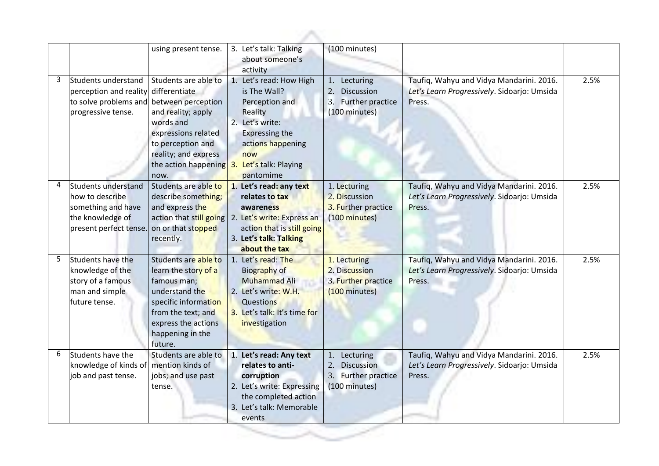|   |                                                                                                            | using present tense.                                                                                                                                                                               | 3. Let's talk: Talking<br>about someone's<br>activity                                                                                                                                   | (100 minutes)                                                                          |                                                                                                   |      |
|---|------------------------------------------------------------------------------------------------------------|----------------------------------------------------------------------------------------------------------------------------------------------------------------------------------------------------|-----------------------------------------------------------------------------------------------------------------------------------------------------------------------------------------|----------------------------------------------------------------------------------------|---------------------------------------------------------------------------------------------------|------|
| 3 | Students understand<br>perception and reality<br>to solve problems and<br>progressive tense.               | Students are able to<br>differentiate<br>between perception<br>and reality; apply<br>words and<br>expressions related<br>to perception and<br>reality; and express<br>the action happening<br>now. | 1. Let's read: How High<br>is The Wall?<br>Perception and<br>Reality<br>2. Let's write:<br><b>Expressing the</b><br>actions happening<br>now<br>Let's talk: Playing<br>3.<br>pantomime  | Lecturing<br>1.<br>2.<br><b>Discussion</b><br>3.<br>Further practice<br>(100 minutes)  | Taufiq, Wahyu and Vidya Mandarini. 2016.<br>Let's Learn Progressively. Sidoarjo: Umsida<br>Press. | 2.5% |
| 4 | Students understand<br>how to describe<br>something and have<br>the knowledge of<br>present perfect tense. | Students are able to<br>describe something;<br>and express the<br>on or that stopped<br>recently.                                                                                                  | 1. Let's read: any text<br>relates to tax<br>awareness<br>action that still going   2. Let's write: Express an<br>action that is still going<br>3. Let's talk: Talking<br>about the tax | 1. Lecturing<br>2. Discussion<br>3. Further practice<br>(100 minutes)                  | Taufiq, Wahyu and Vidya Mandarini. 2016.<br>Let's Learn Progressively. Sidoarjo: Umsida<br>Press. | 2.5% |
| 5 | Students have the<br>knowledge of the<br>story of a famous<br>man and simple<br> future tense.             | Students are able to<br>learn the story of a<br>famous man;<br>understand the<br>specific information<br>from the text; and<br>express the actions<br>happening in the<br>future.                  | 1. Let's read: The<br>Biography of<br><b>Muhammad Ali</b><br>2. Let's write: W.H.<br>Questions<br>3. Let's talk: It's time for<br>investigation                                         | 1. Lecturing<br>2. Discussion<br>3. Further practice<br>(100 minutes)                  | Taufiq, Wahyu and Vidya Mandarini. 2016.<br>Let's Learn Progressively. Sidoarjo: Umsida<br>Press. | 2.5% |
| 6 | Students have the<br>knowledge of kinds of<br>job and past tense.                                          | Students are able to<br>mention kinds of<br>jobs; and use past<br>tense.                                                                                                                           | 1. Let's read: Any text<br>relates to anti-<br>corruption<br>2. Let's write: Expressing<br>the completed action<br>3. Let's talk: Memorable<br>events                                   | Lecturing<br>1.<br><b>Discussion</b><br>3.<br><b>Further practice</b><br>(100 minutes) | Taufiq, Wahyu and Vidya Mandarini. 2016.<br>Let's Learn Progressively. Sidoarjo: Umsida<br>Press. | 2.5% |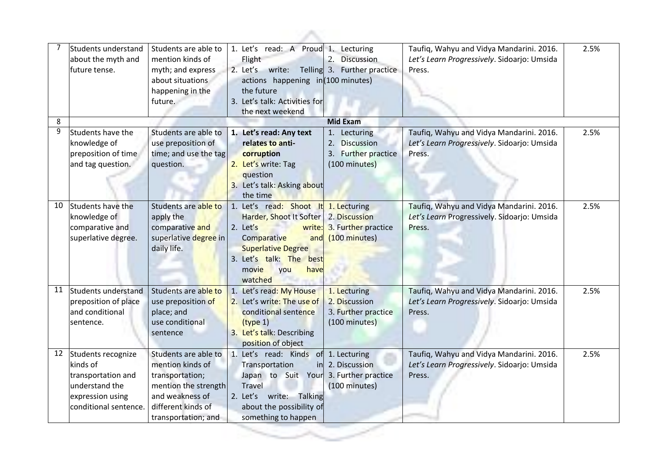|    | Students understand<br>about the myth and<br>future tense.                                                          | Students are able to<br>mention kinds of<br>myth; and express<br>about situations<br>happening in the<br>future.                                    | 1. Let's read: A Proud 1.<br>Flight<br>2. Let's<br>write:<br>actions happening in (100 minutes)<br>the future<br>3. Let's talk: Activities for<br>the next weekend                                     | Lecturing<br>2.<br><b>Discussion</b><br>Telling 3. Further practice                | Taufiq, Wahyu and Vidya Mandarini. 2016.<br>Let's Learn Progressively. Sidoarjo: Umsida<br>Press. | 2.5% |
|----|---------------------------------------------------------------------------------------------------------------------|-----------------------------------------------------------------------------------------------------------------------------------------------------|--------------------------------------------------------------------------------------------------------------------------------------------------------------------------------------------------------|------------------------------------------------------------------------------------|---------------------------------------------------------------------------------------------------|------|
| 8  |                                                                                                                     |                                                                                                                                                     |                                                                                                                                                                                                        | <b>Mid Exam</b>                                                                    |                                                                                                   |      |
| 9  | Students have the<br>knowledge of<br>preposition of time<br>and tag question.                                       | Students are able to<br>use preposition of<br>time; and use the tag<br>question.                                                                    | 1. Let's read: Any text<br>relates to anti-<br>corruption<br>2. Let's write: Tag<br>question<br>3. Let's talk: Asking about<br>the time                                                                | 1.<br>Lecturing<br><b>Discussion</b><br>2.<br>3. Further practice<br>(100 minutes) | Taufiq, Wahyu and Vidya Mandarini. 2016.<br>Let's Learn Progressively. Sidoarjo: Umsida<br>Press. | 2.5% |
| 10 | Students have the<br>knowledge of<br>comparative and<br>superlative degree.                                         | Students are able to<br>apply the<br>comparative and<br>superlative degree in<br>daily life.                                                        | 1. Let's read: Shoot It 1. Lecturing<br>Harder, Shoot It Softer<br>2. Let's<br>write:<br>Comparative<br>and<br><b>Superlative Degree</b><br>3. Let's talk: The best<br>have<br>movie<br>you<br>watched | 2. Discussion<br>3. Further practice<br>$(100 \text{ minutes})$                    | Taufiq, Wahyu and Vidya Mandarini. 2016.<br>Let's Learn Progressively. Sidoarjo: Umsida<br>Press. | 2.5% |
| 11 | Students understand<br>preposition of place<br>and conditional<br>sentence.                                         | Students are able to<br>use preposition of<br>place; and<br>use conditional<br>sentence                                                             | 1. Let's read: My House<br>2. Let's write: The use of<br>conditional sentence<br>(type 1)<br>3. Let's talk: Describing<br>position of object                                                           | 1. Lecturing<br>2. Discussion<br>3. Further practice<br>(100 minutes)              | Taufiq, Wahyu and Vidya Mandarini. 2016.<br>Let's Learn Progressively. Sidoarjo: Umsida<br>Press. | 2.5% |
| 12 | Students recognize<br>kinds of<br>transportation and<br>understand the<br>expression using<br>conditional sentence. | Students are able to<br>mention kinds of<br>transportation;<br>mention the strength<br>and weakness of<br>different kinds of<br>transportation; and | 1. Let's read: Kinds of 1. Lecturing<br>Transportation<br>Japan to Suit Your 3. Further practice<br>Travel<br>2. Let's write: Talking<br>about the possibility of<br>something to happen               | in 2. Discussion<br>(100 minutes)                                                  | Taufiq, Wahyu and Vidya Mandarini. 2016.<br>Let's Learn Progressively. Sidoarjo: Umsida<br>Press. | 2.5% |